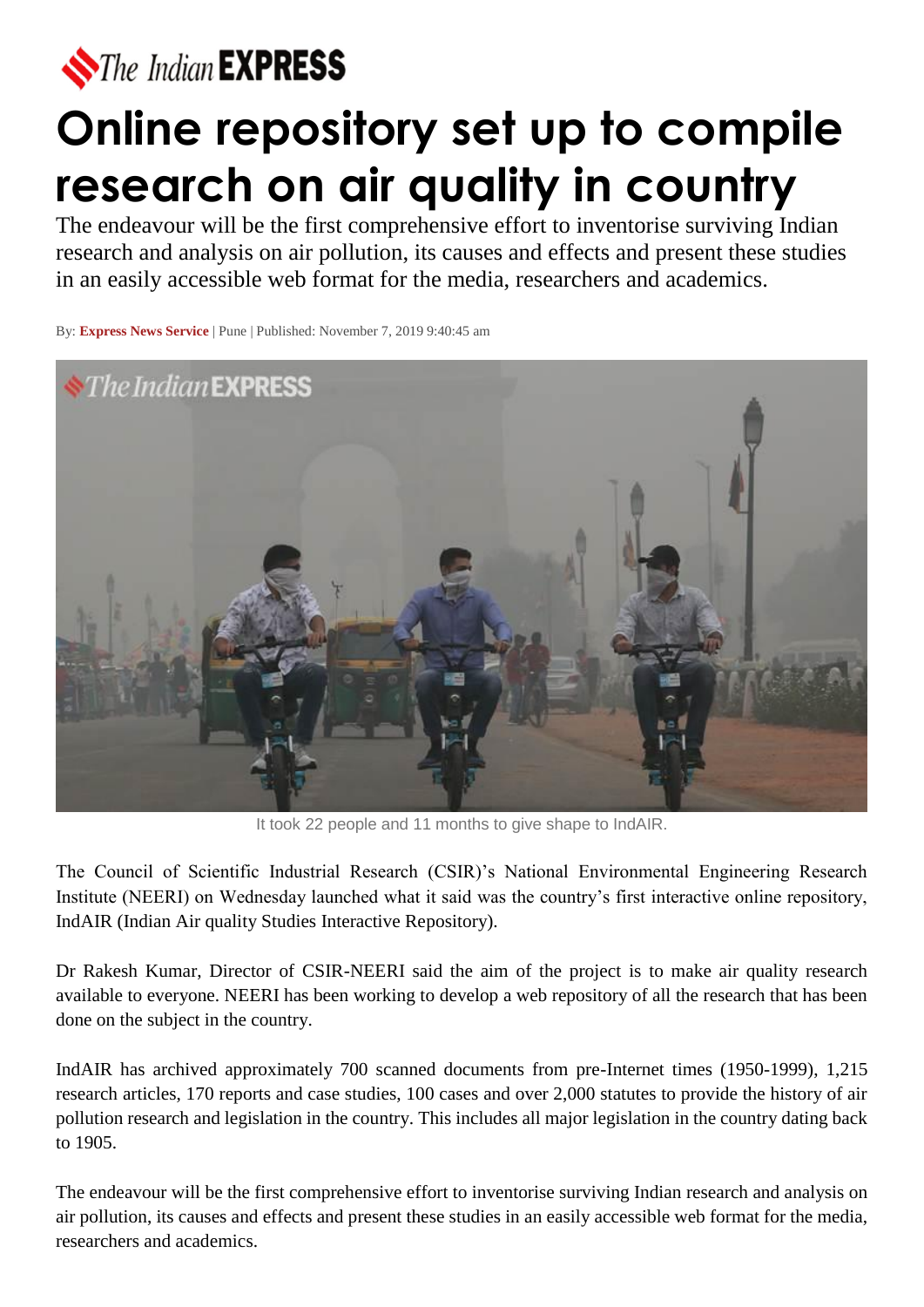

## **Online repository set up to compile research on air quality in country**

The endeavour will be the first comprehensive effort to inventorise surviving Indian research and analysis on air pollution, its causes and effects and present these studies in an easily accessible web format for the media, researchers and academics.

By: **[Express News Service](https://indianexpress.com/agency/express-news-service/)** | Pune | Published: November 7, 2019 9:40:45 am



It took 22 people and 11 months to give shape to IndAIR.

The Council of Scientific Industrial Research (CSIR)'s National Environmental Engineering Research Institute (NEERI) on Wednesday launched what it said was the country's first interactive online repository, IndAIR (Indian Air quality Studies Interactive Repository).

Dr Rakesh Kumar, Director of CSIR-NEERI said the aim of the project is to make air quality research available to everyone. NEERI has been working to develop a web repository of all the research that has been done on the subject in the country.

IndAIR has archived approximately 700 scanned documents from pre-Internet times (1950-1999), 1,215 research articles, 170 reports and case studies, 100 cases and over 2,000 statutes to provide the history of air pollution research and legislation in the country. This includes all major legislation in the country dating back to 1905.

The endeavour will be the first comprehensive effort to inventorise surviving Indian research and analysis on air pollution, its causes and effects and present these studies in an easily accessible web format for the media, researchers and academics.